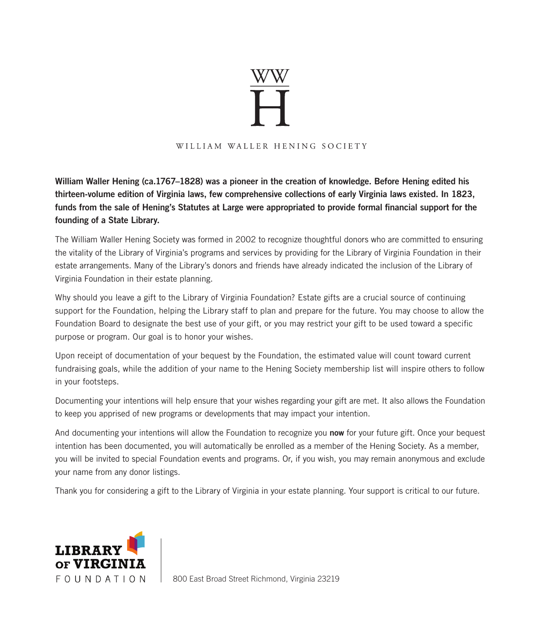# $\overset{\scriptscriptstyle{WW}}{\blacktriangleright}$

#### WILLIAM WALLER HENING SOCIETY

William Waller Hening (ca.1767–1828) was a pioneer in the creation of knowledge. Before Hening edited his thirteen-volume edition of Virginia laws, few comprehensive collections of early Virginia laws existed. In 1823, funds from the sale of Hening's Statutes at Large were appropriated to provide formal financial support for the founding of a State Library.

The William Waller Hening Society was formed in 2002 to recognize thoughtful donors who are committed to ensuring the vitality of the Library of Virginia's programs and services by providing for the Library of Virginia Foundation in their estate arrangements. Many of the Library's donors and friends have already indicated the inclusion of the Library of Virginia Foundation in their estate planning.

Why should you leave a gift to the Library of Virginia Foundation? Estate gifts are a crucial source of continuing support for the Foundation, helping the Library staff to plan and prepare for the future. You may choose to allow the Foundation Board to designate the best use of your gift, or you may restrict your gift to be used toward a specific purpose or program. Our goal is to honor your wishes.

Upon receipt of documentation of your bequest by the Foundation, the estimated value will count toward current fundraising goals, while the addition of your name to the Hening Society membership list will inspire others to follow in your footsteps.

Documenting your intentions will help ensure that your wishes regarding your gift are met. It also allows the Foundation to keep you apprised of new programs or developments that may impact your intention.

And documenting your intentions will allow the Foundation to recognize you now for your future gift. Once your bequest intention has been documented, you will automatically be enrolled as a member of the Hening Society. As a member, you will be invited to special Foundation events and programs. Or, if you wish, you may remain anonymous and exclude your name from any donor listings.

Thank you for considering a gift to the Library of Virginia in your estate planning. Your support is critical to our future.



800 East Broad Street Richmond, Virginia 23219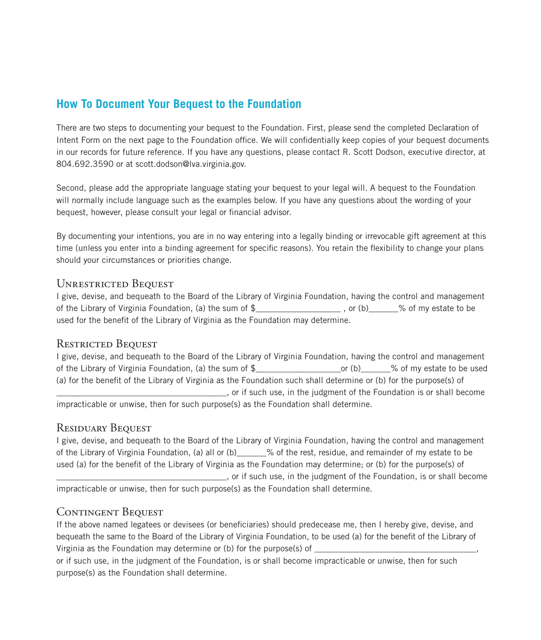# **How To Document Your Bequest to the Foundation**

There are two steps to documenting your bequest to the Foundation. First, please send the completed Declaration of Intent Form on the next page to the Foundation office. We will confidentially keep copies of your bequest documents in our records for future reference. If you have any questions, please contact R. Scott Dodson, executive director, at 804.692.3590 or at scott.dodson@lva.virginia.gov.

Second, please add the appropriate language stating your bequest to your legal will. A bequest to the Foundation will normally include language such as the examples below. If you have any questions about the wording of your bequest, however, please consult your legal or financial advisor.

By documenting your intentions, you are in no way entering into a legally binding or irrevocable gift agreement at this time (unless you enter into a binding agreement for specific reasons). You retain the flexibility to change your plans should your circumstances or priorities change.

### UNRESTRICTED BEQUEST

I give, devise, and bequeath to the Board of the Library of Virginia Foundation, having the control and management of the Library of Virginia Foundation, (a) the sum of \$ and the sum of \$ and to be sum of \$ and to be sum of \$ and to be sum of \$ and to be sum of \$ and to be sum of \$ and to be sum of \$ and to be sum of \$ and to be sum of used for the benefit of the Library of Virginia as the Foundation may determine.

## RESTRICTED BEQUEST

I give, devise, and bequeath to the Board of the Library of Virginia Foundation, having the control and management of the Library of Virginia Foundation, (a) the sum of \$\_\_\_\_\_\_\_\_\_\_\_\_\_\_\_\_\_\_\_\_or (b)\_\_\_\_\_\_\_% of my estate to be used (a) for the benefit of the Library of Virginia as the Foundation such shall determine or (b) for the purpose(s) of \_\_\_\_\_\_\_\_\_\_\_\_\_\_\_\_\_\_\_\_\_\_\_\_\_\_\_\_\_\_\_\_\_\_\_\_\_\_\_\_, or if such use, in the judgment of the Foundation is or shall become impracticable or unwise, then for such purpose(s) as the Foundation shall determine.

### RESIDUARY BEQUEST

I give, devise, and bequeath to the Board of the Library of Virginia Foundation, having the control and management of the Library of Virginia Foundation, (a) all or (b)\_\_\_\_\_\_\_% of the rest, residue, and remainder of my estate to be used (a) for the benefit of the Library of Virginia as the Foundation may determine; or (b) for the purpose(s) of \_\_\_\_\_\_\_\_\_\_\_\_\_\_\_\_\_\_\_\_\_\_\_\_\_\_\_\_\_\_\_\_\_\_\_\_\_\_\_\_, or if such use, in the judgment of the Foundation, is or shall become

impracticable or unwise, then for such purpose(s) as the Foundation shall determine.

## CONTINGENT BEQUEST

If the above named legatees or devisees (or beneficiaries) should predecease me, then I hereby give, devise, and bequeath the same to the Board of the Library of Virginia Foundation, to be used (a) for the benefit of the Library of Virginia as the Foundation may determine or (b) for the purpose(s) of

or if such use, in the judgment of the Foundation, is or shall become impracticable or unwise, then for such purpose(s) as the Foundation shall determine.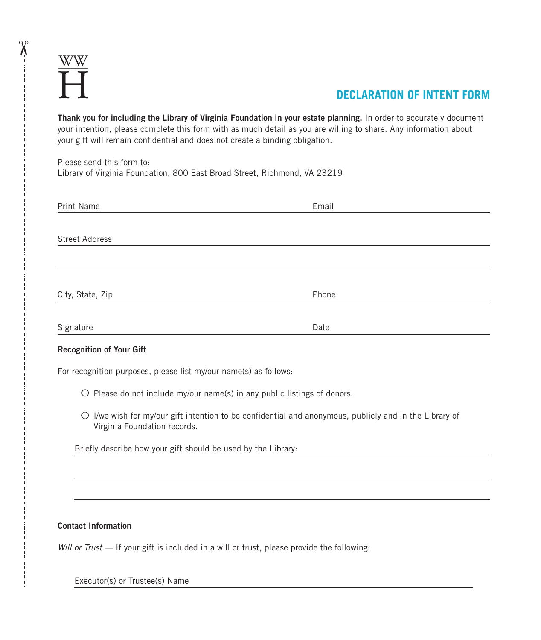$\chi$ 

# **DECLARATION OF INTENT FORM**

Thank you for including the Library of Virginia Foundation in your estate planning. In order to accurately document your intention, please complete this form with as much detail as you are willing to share. Any information about your gift will remain confidential and does not create a binding obligation.

Please send this form to: Library of Virginia Foundation, 800 East Broad Street, Richmond, VA 23219

| Print Name            | Email |
|-----------------------|-------|
|                       |       |
| <b>Street Address</b> |       |
|                       |       |
|                       |       |
| City, State, Zip      | Phone |
|                       |       |
| Signature             | Date  |

#### Recognition of Your Gift

For recognition purposes, please list my/our name(s) as follows:

- $\circ$  Please do not include my/our name(s) in any public listings of donors.
- $\bigcirc$  I/we wish for my/our gift intention to be confidential and anonymous, publicly and in the Library of Virginia Foundation records.

Briefly describe how your gift should be used by the Library:

#### Contact Information

*Will or Trust* — If your gift is included in a will or trust, please provide the following:

Executor(s) or Trustee(s) Name